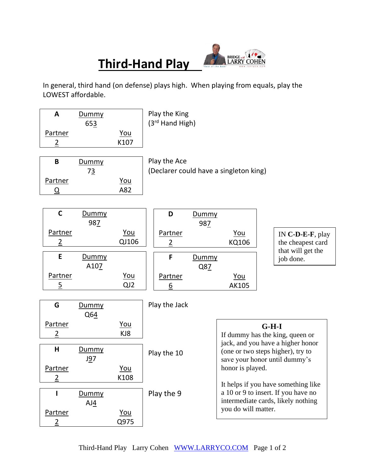**Third-Hand Play** 



In general, third hand (on defense) plays high. When playing from equals, play the LOWEST affordable.

| A                         | Dummy<br>653         |                     | Play the King<br>(3rd Hand High)                                                                                       |
|---------------------------|----------------------|---------------------|------------------------------------------------------------------------------------------------------------------------|
| Partner<br>$\overline{2}$ |                      | <u>You</u><br>K107  |                                                                                                                        |
| B                         | Dummy<br>73          |                     | Play the Ace<br>(Declarer could have a singleton king)                                                                 |
| Partner<br>Q              |                      | <u>You</u><br>A82   |                                                                                                                        |
| $\mathbf C$               | <b>Dummy</b><br>987  |                     | D<br>Dummy<br>987                                                                                                      |
| Partner<br>2              |                      | <u>You</u><br>QJ106 | Partner<br>You<br>IN C-D-E-F, play<br>the cheapest card<br>KQ106<br>$\overline{2}$                                     |
| E                         | <b>Dummy</b><br>A107 |                     | that will get the<br>F<br>Dummy<br>job done.<br>Q87                                                                    |
| Partner<br>$\overline{5}$ |                      | <u>You</u><br>QJ2   | Partner<br>You<br>AK105<br>6                                                                                           |
| G                         | Dummy<br>Q64         |                     | Play the Jack                                                                                                          |
| Partner<br>$\overline{2}$ |                      | <u>You</u><br>KJ8   | $G-H-I$<br>If dummy has the king, queen or                                                                             |
| H                         | Dummy<br>J97         |                     | jack, and you have a higher honor<br>(one or two steps higher), try to<br>Play the 10<br>save your honor until dummy's |
| Partner<br>2              |                      | <u>You</u><br>K108  | honor is played.<br>It helps if you have something like                                                                |
|                           | Dummy<br>AJ4         |                     | a 10 or 9 to insert. If you have no<br>Play the 9<br>intermediate cards, likely nothing<br>you do will matter.         |
| Partner<br>$\overline{2}$ |                      | <u>You</u><br>Q975  |                                                                                                                        |